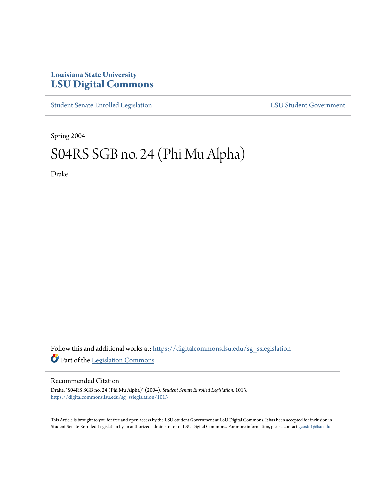## **Louisiana State University [LSU Digital Commons](https://digitalcommons.lsu.edu?utm_source=digitalcommons.lsu.edu%2Fsg_sslegislation%2F1013&utm_medium=PDF&utm_campaign=PDFCoverPages)**

[Student Senate Enrolled Legislation](https://digitalcommons.lsu.edu/sg_sslegislation?utm_source=digitalcommons.lsu.edu%2Fsg_sslegislation%2F1013&utm_medium=PDF&utm_campaign=PDFCoverPages) [LSU Student Government](https://digitalcommons.lsu.edu/sg?utm_source=digitalcommons.lsu.edu%2Fsg_sslegislation%2F1013&utm_medium=PDF&utm_campaign=PDFCoverPages)

Spring 2004

# S04RS SGB no. 24 (Phi Mu Alpha)

Drake

Follow this and additional works at: [https://digitalcommons.lsu.edu/sg\\_sslegislation](https://digitalcommons.lsu.edu/sg_sslegislation?utm_source=digitalcommons.lsu.edu%2Fsg_sslegislation%2F1013&utm_medium=PDF&utm_campaign=PDFCoverPages) Part of the [Legislation Commons](http://network.bepress.com/hgg/discipline/859?utm_source=digitalcommons.lsu.edu%2Fsg_sslegislation%2F1013&utm_medium=PDF&utm_campaign=PDFCoverPages)

#### Recommended Citation

Drake, "S04RS SGB no. 24 (Phi Mu Alpha)" (2004). *Student Senate Enrolled Legislation*. 1013. [https://digitalcommons.lsu.edu/sg\\_sslegislation/1013](https://digitalcommons.lsu.edu/sg_sslegislation/1013?utm_source=digitalcommons.lsu.edu%2Fsg_sslegislation%2F1013&utm_medium=PDF&utm_campaign=PDFCoverPages)

This Article is brought to you for free and open access by the LSU Student Government at LSU Digital Commons. It has been accepted for inclusion in Student Senate Enrolled Legislation by an authorized administrator of LSU Digital Commons. For more information, please contact [gcoste1@lsu.edu.](mailto:gcoste1@lsu.edu)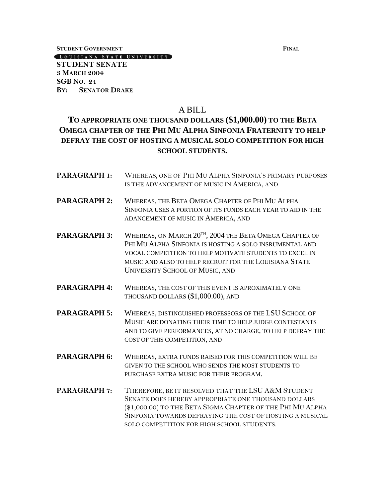**STUDENT GOVERNMENT FINAL**

LOUISIANA STATE UNIVERSITY **STUDENT SENATE 3 MARCH 2004**

**SGB NO. 24 BY: SENATOR DRAKE**

#### A BILL

### **TO APPROPRIATE ONE THOUSAND DOLLARS (\$1,000.00) TO THE BETA OMEGA CHAPTER OF THE PHI MU ALPHA SINFONIA FRATERNITY TO HELP DEFRAY THE COST OF HOSTING A MUSICAL SOLO COMPETITION FOR HIGH SCHOOL STUDENTS.**

**PARAGRAPH 1:** WHEREAS, ONE OF PHI MU ALPHA SINFONIA'S PRIMARY PURPOSES IS THE ADVANCEMENT OF MUSIC IN AMERICA, AND **PARAGRAPH 2:** WHEREAS, THE BETA OMEGA CHAPTER OF PHI MU ALPHA SINFONIA USES A PORTION OF ITS FUNDS EACH YEAR TO AID IN THE ADANCEMENT OF MUSIC IN AMERICA, AND PARAGRAPH 3: WHEREAS, ON MARCH 20<sup>th</sup>, 2004 the Beta Omega Chapter of PHI MU ALPHA SINFONIA IS HOSTING A SOLO INSRUMENTAL AND VOCAL COMPETITION TO HELP MOTIVATE STUDENTS TO EXCEL IN MUSIC AND ALSO TO HELP RECRUIT FOR THE LOUISIANA STATE UNIVERSITY SCHOOL OF MUSIC, AND **PARAGRAPH 4:** WHEREAS, THE COST OF THIS EVENT IS APROXIMATELY ONE THOUSAND DOLLARS (\$1,000.00), AND **PARAGRAPH 5:** WHEREAS, DISTINGUISHED PROFESSORS OF THE LSU SCHOOL OF MUSIC ARE DONATING THEIR TIME TO HELP JUDGE CONTESTANTS AND TO GIVE PERFORMANCES, AT NO CHARGE, TO HELP DEFRAY THE COST OF THIS COMPETITION, AND **PARAGRAPH 6:** WHEREAS, EXTRA FUNDS RAISED FOR THIS COMPETITION WILL BE GIVEN TO THE SCHOOL WHO SENDS THE MOST STUDENTS TO PURCHASE EXTRA MUSIC FOR THEIR PROGRAM. **PARAGRAPH 7:** THEREFORE, BE IT RESOLVED THAT THE LSU A&M STUDENT SENATE DOES HEREBY APPROPRIATE ONE THOUSAND DOLLARS (\$1,000.00) TO THE BETA SIGMA CHAPTER OF THE PHI MU ALPHA SINFONIA TOWARDS DEFRAYING THE COST OF HOSTING A MUSICAL SOLO COMPETITION FOR HIGH SCHOOL STUDENTS.